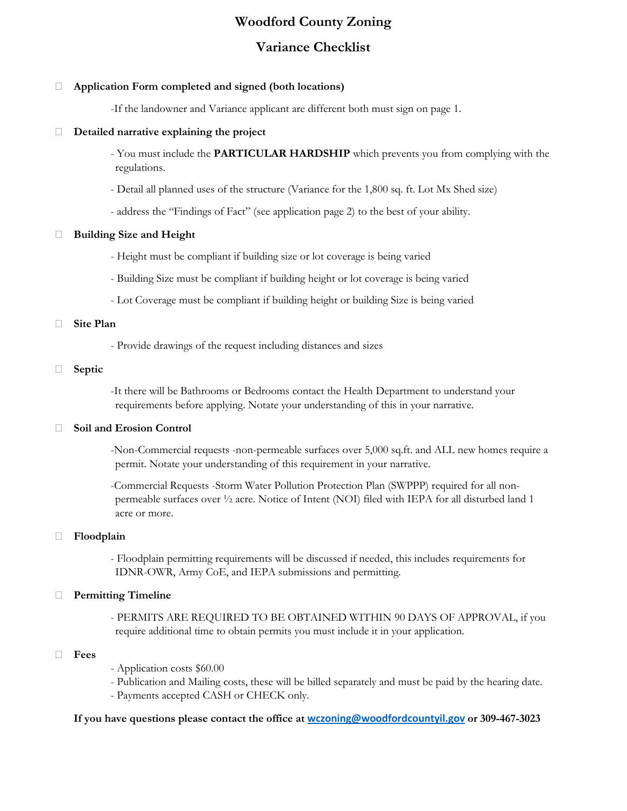# **Woodford County Zoning**

# **Variance Checklist**

### **Application Form completed and signed (both locations)**

-If the landowner and Variance applicant are different both must sign on page 1.

#### **Detailed narrative explaining the project**

- You must include the **PARTICULAR HARDSHIP** which prevents you from complying with the regulations.

- Detail all planned uses of the structure (Variance for the 1,800 sq. ft. Lot Mx Shed size)
- address the "Findings of Fact" (see application page 2) to the best of your ability.

# **Building Size and Height**

- Height must be compliant if building size or lot coverage is being varied
- Building Size must be compliant if building height or lot coverage is being varied
- Lot Coverage must be compliant if building height or building Size is being varied

#### **Site Plan**

- Provide drawings of the request including distances and sizes

#### **Septic**

-It there will be Bathrooms or Bedrooms contact the Health Department to understand your requirements before applying. Notate your understanding of this in your narrative.

# **Soil and Erosion Control**

-Non-Commercial requests -non-permeable surfaces over 5,000 sq.ft. and ALL new homes require a permit. Notate your understanding of this requirement in your narrative.

-Commercial Requests -Storm Water Pollution Protection Plan (SWPPP) required for all nonpermeable surfaces over ½ acre. Notice of Intent (NOI) filed with IEPA for all disturbed land 1 acre or more.

#### **Floodplain**

- Floodplain permitting requirements will be discussed if needed, this includes requirements for IDNR-OWR, Army CoE, and IEPA submissions and permitting.

# **Permitting Timeline**

- PERMITS ARE REQUIRED TO BE OBTAINED WITHIN 90 DAYS OF APPROVAL, if you require additional time to obtain permits you must include it in your application.

#### **Fees**

- Application costs \$60.00
- Publication and Mailing costs, these will be billed separately and must be paid by the hearing date.
- Payments accepted CASH or CHECK only.

**If you have questions please contact the office at [wczoning@woodfordcountyil.gov](mailto:wczoning@woodfordcountyil.gov) or 309-467-3023**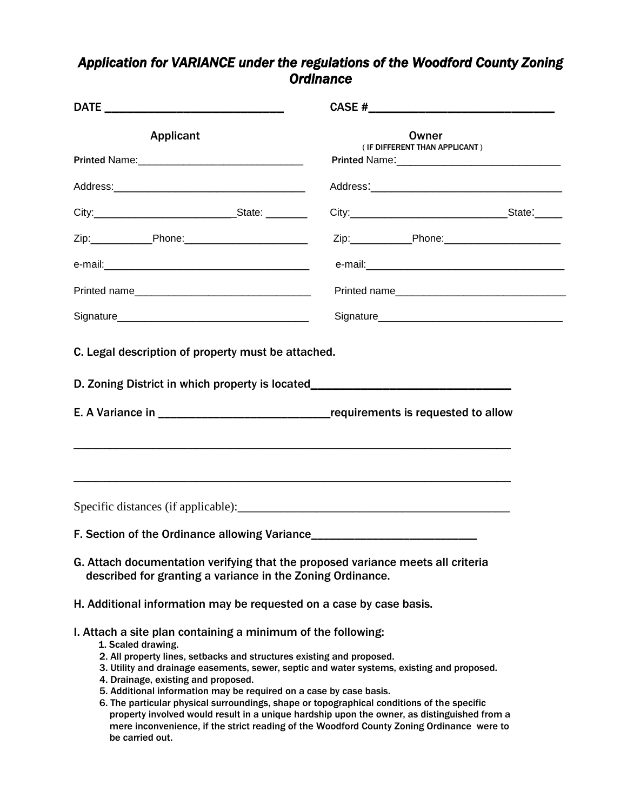# *Application for VARIANCE under the regulations of the Woodford County Zoning Ordinance*

| <b>Applicant</b>                                                                                                                                                                                                                                                                                                                                                                                                                                                                                                                                                                                                                                                                    | Owner<br>(IF DIFFERENT THAN APPLICANT) |  |  |  |  |
|-------------------------------------------------------------------------------------------------------------------------------------------------------------------------------------------------------------------------------------------------------------------------------------------------------------------------------------------------------------------------------------------------------------------------------------------------------------------------------------------------------------------------------------------------------------------------------------------------------------------------------------------------------------------------------------|----------------------------------------|--|--|--|--|
|                                                                                                                                                                                                                                                                                                                                                                                                                                                                                                                                                                                                                                                                                     |                                        |  |  |  |  |
|                                                                                                                                                                                                                                                                                                                                                                                                                                                                                                                                                                                                                                                                                     |                                        |  |  |  |  |
| Zip:_______________Phone:___________________________                                                                                                                                                                                                                                                                                                                                                                                                                                                                                                                                                                                                                                |                                        |  |  |  |  |
|                                                                                                                                                                                                                                                                                                                                                                                                                                                                                                                                                                                                                                                                                     |                                        |  |  |  |  |
|                                                                                                                                                                                                                                                                                                                                                                                                                                                                                                                                                                                                                                                                                     | Printed name                           |  |  |  |  |
|                                                                                                                                                                                                                                                                                                                                                                                                                                                                                                                                                                                                                                                                                     |                                        |  |  |  |  |
| C. Legal description of property must be attached.<br>D. Zoning District in which property is located_________________________________                                                                                                                                                                                                                                                                                                                                                                                                                                                                                                                                              |                                        |  |  |  |  |
|                                                                                                                                                                                                                                                                                                                                                                                                                                                                                                                                                                                                                                                                                     |                                        |  |  |  |  |
| F. Section of the Ordinance allowing Variance___________________________________                                                                                                                                                                                                                                                                                                                                                                                                                                                                                                                                                                                                    |                                        |  |  |  |  |
| G. Attach documentation verifying that the proposed variance meets all criteria<br>described for granting a variance in the Zoning Ordinance.                                                                                                                                                                                                                                                                                                                                                                                                                                                                                                                                       |                                        |  |  |  |  |
| H. Additional information may be requested on a case by case basis.                                                                                                                                                                                                                                                                                                                                                                                                                                                                                                                                                                                                                 |                                        |  |  |  |  |
| I. Attach a site plan containing a minimum of the following:<br>1. Scaled drawing.<br>2. All property lines, setbacks and structures existing and proposed.<br>3. Utility and drainage easements, sewer, septic and water systems, existing and proposed.<br>4. Drainage, existing and proposed.<br>5. Additional information may be required on a case by case basis.<br>6. The particular physical surroundings, shape or topographical conditions of the specific<br>property involved would result in a unique hardship upon the owner, as distinguished from a<br>mere inconvenience, if the strict reading of the Woodford County Zoning Ordinance were to<br>be carried out. |                                        |  |  |  |  |